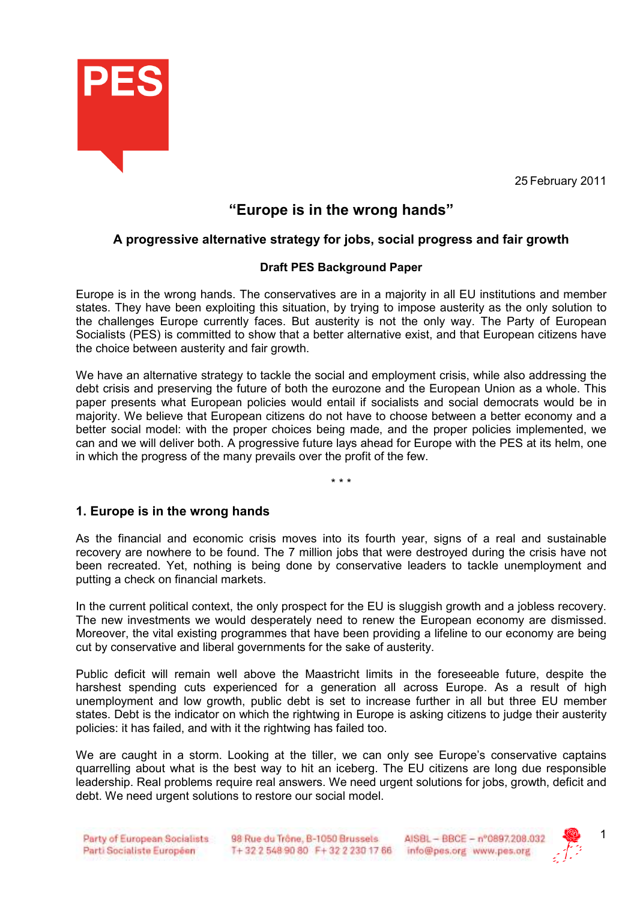

25 February 2011

# **"Europe is in the wrong hands"**

## **A progressive alternative strategy for jobs, social progress and fair growth**

### **Draft PES Background Paper**

Europe is in the wrong hands. The conservatives are in a majority in all EU institutions and member states. They have been exploiting this situation, by trying to impose austerity as the only solution to the challenges Europe currently faces. But austerity is not the only way. The Party of European Socialists (PES) is committed to show that a better alternative exist, and that European citizens have the choice between austerity and fair growth.

We have an alternative strategy to tackle the social and employment crisis, while also addressing the debt crisis and preserving the future of both the eurozone and the European Union as a whole. This paper presents what European policies would entail if socialists and social democrats would be in majority. We believe that European citizens do not have to choose between a better economy and a better social model: with the proper choices being made, and the proper policies implemented, we can and we will deliver both. A progressive future lays ahead for Europe with the PES at its helm, one in which the progress of the many prevails over the profit of the few.

\* \* \*

### **1. Europe is in the wrong hands**

As the financial and economic crisis moves into its fourth year, signs of a real and sustainable recovery are nowhere to be found. The 7 million jobs that were destroyed during the crisis have not been recreated. Yet, nothing is being done by conservative leaders to tackle unemployment and putting a check on financial markets.

In the current political context, the only prospect for the EU is sluggish growth and a jobless recovery. The new investments we would desperately need to renew the European economy are dismissed. Moreover, the vital existing programmes that have been providing a lifeline to our economy are being cut by conservative and liberal governments for the sake of austerity.

Public deficit will remain well above the Maastricht limits in the foreseeable future, despite the harshest spending cuts experienced for a generation all across Europe. As a result of high unemployment and low growth, public debt is set to increase further in all but three EU member states. Debt is the indicator on which the rightwing in Europe is asking citizens to judge their austerity policies: it has failed, and with it the rightwing has failed too.

We are caught in a storm. Looking at the tiller, we can only see Europe's conservative captains quarrelling about what is the best way to hit an iceberg. The EU citizens are long due responsible leadership. Real problems require real answers. We need urgent solutions for jobs, growth, deficit and debt. We need urgent solutions to restore our social model.

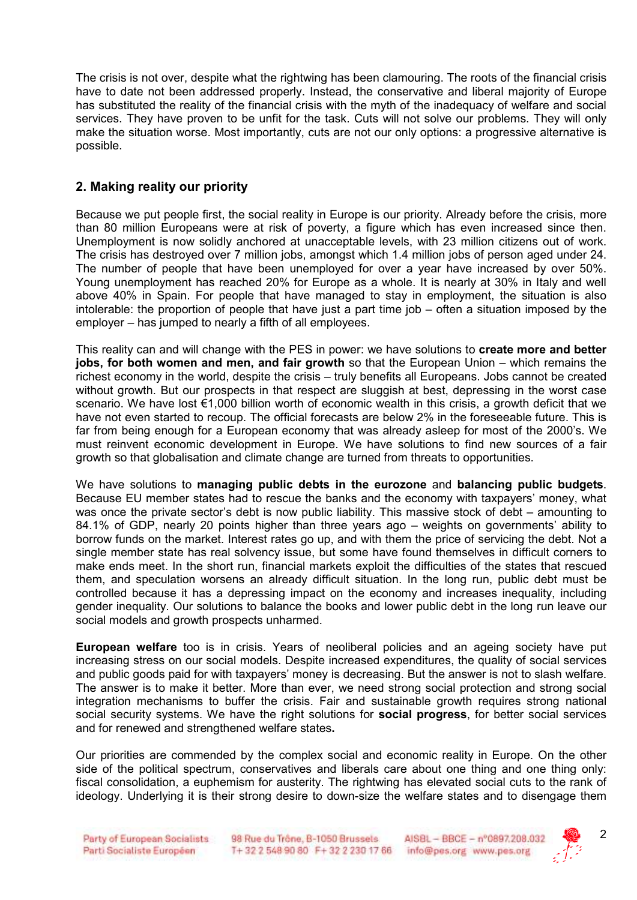The crisis is not over, despite what the rightwing has been clamouring. The roots of the financial crisis have to date not been addressed properly. Instead, the conservative and liberal majority of Europe has substituted the reality of the financial crisis with the myth of the inadequacy of welfare and social services. They have proven to be unfit for the task. Cuts will not solve our problems. They will only make the situation worse. Most importantly, cuts are not our only options: a progressive alternative is possible.

## **2. Making reality our priority**

Because we put people first, the social reality in Europe is our priority. Already before the crisis, more than 80 million Europeans were at risk of poverty, a figure which has even increased since then. Unemployment is now solidly anchored at unacceptable levels, with 23 million citizens out of work. The crisis has destroyed over 7 million jobs, amongst which 1.4 million jobs of person aged under 24. The number of people that have been unemployed for over a year have increased by over 50%. Young unemployment has reached 20% for Europe as a whole. It is nearly at 30% in Italy and well above 40% in Spain. For people that have managed to stay in employment, the situation is also intolerable: the proportion of people that have just a part time job – often a situation imposed by the employer – has jumped to nearly a fifth of all employees.

This reality can and will change with the PES in power: we have solutions to **create more and better jobs, for both women and men, and fair growth** so that the European Union – which remains the richest economy in the world, despite the crisis – truly benefits all Europeans. Jobs cannot be created without growth. But our prospects in that respect are sluggish at best, depressing in the worst case scenario. We have lost €1,000 billion worth of economic wealth in this crisis, a growth deficit that we have not even started to recoup. The official forecasts are below 2% in the foreseeable future. This is far from being enough for a European economy that was already asleep for most of the 2000's. We must reinvent economic development in Europe. We have solutions to find new sources of a fair growth so that globalisation and climate change are turned from threats to opportunities.

We have solutions to **managing public debts in the eurozone** and **balancing public budgets**. Because EU member states had to rescue the banks and the economy with taxpayers' money, what was once the private sector's debt is now public liability. This massive stock of debt – amounting to 84.1% of GDP, nearly 20 points higher than three years ago – weights on governments' ability to borrow funds on the market. Interest rates go up, and with them the price of servicing the debt. Not a single member state has real solvency issue, but some have found themselves in difficult corners to make ends meet. In the short run, financial markets exploit the difficulties of the states that rescued them, and speculation worsens an already difficult situation. In the long run, public debt must be controlled because it has a depressing impact on the economy and increases inequality, including gender inequality. Our solutions to balance the books and lower public debt in the long run leave our social models and growth prospects unharmed.

**European welfare** too is in crisis. Years of neoliberal policies and an ageing society have put increasing stress on our social models. Despite increased expenditures, the quality of social services and public goods paid for with taxpayers' money is decreasing. But the answer is not to slash welfare. The answer is to make it better. More than ever, we need strong social protection and strong social integration mechanisms to buffer the crisis. Fair and sustainable growth requires strong national social security systems. We have the right solutions for **social progress**, for better social services and for renewed and strengthened welfare states**.** 

Our priorities are commended by the complex social and economic reality in Europe. On the other side of the political spectrum, conservatives and liberals care about one thing and one thing only: fiscal consolidation, a euphemism for austerity. The rightwing has elevated social cuts to the rank of ideology. Underlying it is their strong desire to down-size the welfare states and to disengage them

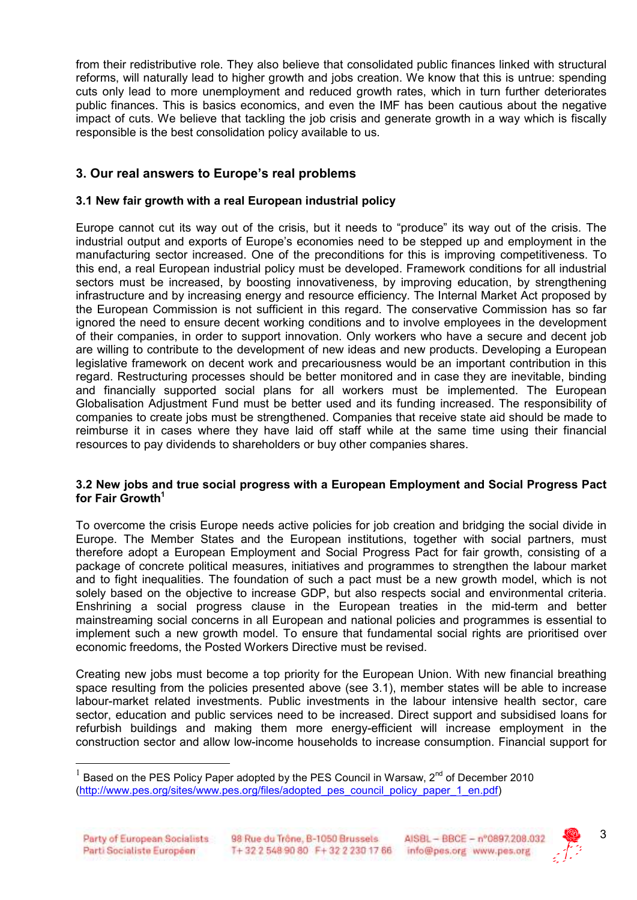from their redistributive role. They also believe that consolidated public finances linked with structural reforms, will naturally lead to higher growth and jobs creation. We know that this is untrue: spending cuts only lead to more unemployment and reduced growth rates, which in turn further deteriorates public finances. This is basics economics, and even the IMF has been cautious about the negative impact of cuts. We believe that tackling the job crisis and generate growth in a way which is fiscally responsible is the best consolidation policy available to us.

## **3. Our real answers to Europe's real problems**

### **3.1 New fair growth with a real European industrial policy**

Europe cannot cut its way out of the crisis, but it needs to "produce" its way out of the crisis. The industrial output and exports of Europe's economies need to be stepped up and employment in the manufacturing sector increased. One of the preconditions for this is improving competitiveness. To this end, a real European industrial policy must be developed. Framework conditions for all industrial sectors must be increased, by boosting innovativeness, by improving education, by strengthening infrastructure and by increasing energy and resource efficiency. The Internal Market Act proposed by the European Commission is not sufficient in this regard. The conservative Commission has so far ignored the need to ensure decent working conditions and to involve employees in the development of their companies, in order to support innovation. Only workers who have a secure and decent job are willing to contribute to the development of new ideas and new products. Developing a European legislative framework on decent work and precariousness would be an important contribution in this regard. Restructuring processes should be better monitored and in case they are inevitable, binding and financially supported social plans for all workers must be implemented. The European Globalisation Adjustment Fund must be better used and its funding increased. The responsibility of companies to create jobs must be strengthened. Companies that receive state aid should be made to reimburse it in cases where they have laid off staff while at the same time using their financial resources to pay dividends to shareholders or buy other companies shares.

#### **3.2 New jobs and true social progress with a European Employment and Social Progress Pact for Fair Growth<sup>1</sup>**

To overcome the crisis Europe needs active policies for job creation and bridging the social divide in Europe. The Member States and the European institutions, together with social partners, must therefore adopt a European Employment and Social Progress Pact for fair growth, consisting of a package of concrete political measures, initiatives and programmes to strengthen the labour market and to fight inequalities. The foundation of such a pact must be a new growth model, which is not solely based on the objective to increase GDP, but also respects social and environmental criteria. Enshrining a social progress clause in the European treaties in the mid-term and better mainstreaming social concerns in all European and national policies and programmes is essential to implement such a new growth model. To ensure that fundamental social rights are prioritised over economic freedoms, the Posted Workers Directive must be revised.

Creating new jobs must become a top priority for the European Union. With new financial breathing space resulting from the policies presented above (see 3.1), member states will be able to increase labour-market related investments. Public investments in the labour intensive health sector, care sector, education and public services need to be increased. Direct support and subsidised loans for refurbish buildings and making them more energy-efficient will increase employment in the construction sector and allow low-income households to increase consumption. Financial support for

 $\overline{a}$ 



<sup>1</sup> Based on the PES Policy Paper adopted by the PES Council in Warsaw, 2<sup>nd</sup> of December 2010 (http://www.pes.org/sites/www.pes.org/files/adopted\_pes\_council\_policy\_paper\_1\_en.pdf)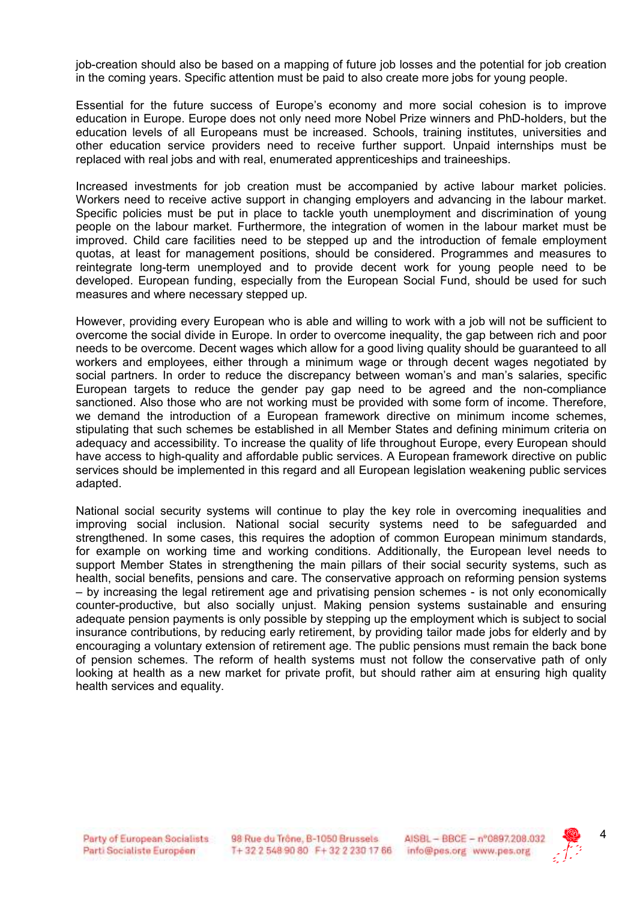job-creation should also be based on a mapping of future job losses and the potential for job creation in the coming years. Specific attention must be paid to also create more jobs for young people.

Essential for the future success of Europe's economy and more social cohesion is to improve education in Europe. Europe does not only need more Nobel Prize winners and PhD-holders, but the education levels of all Europeans must be increased. Schools, training institutes, universities and other education service providers need to receive further support. Unpaid internships must be replaced with real jobs and with real, enumerated apprenticeships and traineeships.

Increased investments for job creation must be accompanied by active labour market policies. Workers need to receive active support in changing employers and advancing in the labour market. Specific policies must be put in place to tackle youth unemployment and discrimination of young people on the labour market. Furthermore, the integration of women in the labour market must be improved. Child care facilities need to be stepped up and the introduction of female employment quotas, at least for management positions, should be considered. Programmes and measures to reintegrate long-term unemployed and to provide decent work for young people need to be developed. European funding, especially from the European Social Fund, should be used for such measures and where necessary stepped up.

However, providing every European who is able and willing to work with a job will not be sufficient to overcome the social divide in Europe. In order to overcome inequality, the gap between rich and poor needs to be overcome. Decent wages which allow for a good living quality should be guaranteed to all workers and employees, either through a minimum wage or through decent wages negotiated by social partners. In order to reduce the discrepancy between woman's and man's salaries, specific European targets to reduce the gender pay gap need to be agreed and the non-compliance sanctioned. Also those who are not working must be provided with some form of income. Therefore, we demand the introduction of a European framework directive on minimum income schemes, stipulating that such schemes be established in all Member States and defining minimum criteria on adequacy and accessibility. To increase the quality of life throughout Europe, every European should have access to high-quality and affordable public services. A European framework directive on public services should be implemented in this regard and all European legislation weakening public services adapted.

National social security systems will continue to play the key role in overcoming inequalities and improving social inclusion. National social security systems need to be safeguarded and strengthened. In some cases, this requires the adoption of common European minimum standards, for example on working time and working conditions. Additionally, the European level needs to support Member States in strengthening the main pillars of their social security systems, such as health, social benefits, pensions and care. The conservative approach on reforming pension systems – by increasing the legal retirement age and privatising pension schemes - is not only economically counter-productive, but also socially unjust. Making pension systems sustainable and ensuring adequate pension payments is only possible by stepping up the employment which is subject to social insurance contributions, by reducing early retirement, by providing tailor made jobs for elderly and by encouraging a voluntary extension of retirement age. The public pensions must remain the back bone of pension schemes. The reform of health systems must not follow the conservative path of only looking at health as a new market for private profit, but should rather aim at ensuring high quality health services and equality.

98 Rue du Trône, B-1050 Brussels. T+32 2 548 90 80 F+32 2 230 17 66



4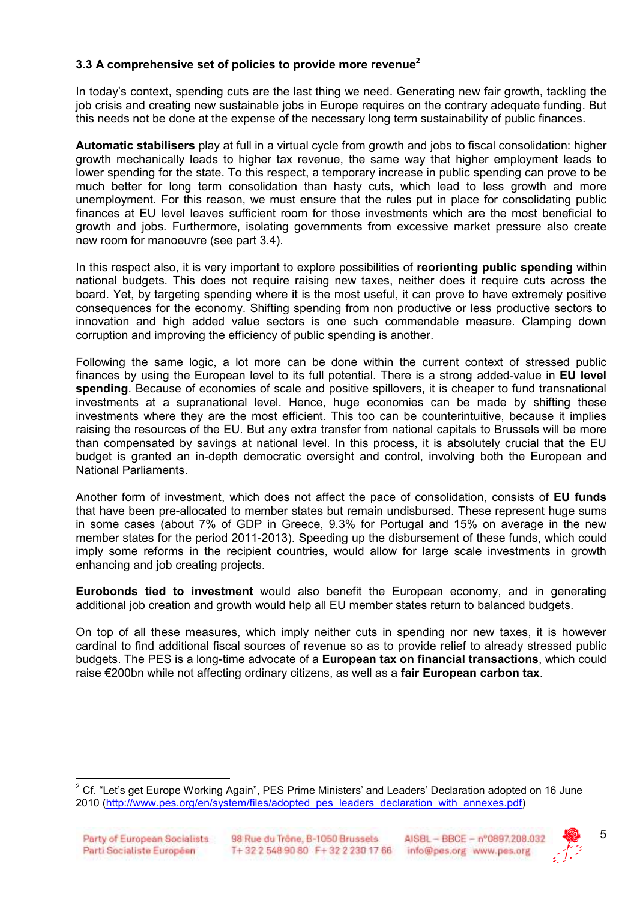### **3.3 A comprehensive set of policies to provide more revenue<sup>2</sup>**

In today's context, spending cuts are the last thing we need. Generating new fair growth, tackling the job crisis and creating new sustainable jobs in Europe requires on the contrary adequate funding. But this needs not be done at the expense of the necessary long term sustainability of public finances.

**Automatic stabilisers** play at full in a virtual cycle from growth and jobs to fiscal consolidation: higher growth mechanically leads to higher tax revenue, the same way that higher employment leads to lower spending for the state. To this respect, a temporary increase in public spending can prove to be much better for long term consolidation than hasty cuts, which lead to less growth and more unemployment. For this reason, we must ensure that the rules put in place for consolidating public finances at EU level leaves sufficient room for those investments which are the most beneficial to growth and jobs. Furthermore, isolating governments from excessive market pressure also create new room for manoeuvre (see part 3.4).

In this respect also, it is very important to explore possibilities of **reorienting public spending** within national budgets. This does not require raising new taxes, neither does it require cuts across the board. Yet, by targeting spending where it is the most useful, it can prove to have extremely positive consequences for the economy. Shifting spending from non productive or less productive sectors to innovation and high added value sectors is one such commendable measure. Clamping down corruption and improving the efficiency of public spending is another.

Following the same logic, a lot more can be done within the current context of stressed public finances by using the European level to its full potential. There is a strong added-value in **EU level spending**. Because of economies of scale and positive spillovers, it is cheaper to fund transnational investments at a supranational level. Hence, huge economies can be made by shifting these investments where they are the most efficient. This too can be counterintuitive, because it implies raising the resources of the EU. But any extra transfer from national capitals to Brussels will be more than compensated by savings at national level. In this process, it is absolutely crucial that the EU budget is granted an in-depth democratic oversight and control, involving both the European and National Parliaments.

Another form of investment, which does not affect the pace of consolidation, consists of **EU funds** that have been pre-allocated to member states but remain undisbursed. These represent huge sums in some cases (about 7% of GDP in Greece, 9.3% for Portugal and 15% on average in the new member states for the period 2011-2013). Speeding up the disbursement of these funds, which could imply some reforms in the recipient countries, would allow for large scale investments in growth enhancing and job creating projects.

**Eurobonds tied to investment** would also benefit the European economy, and in generating additional job creation and growth would help all EU member states return to balanced budgets.

On top of all these measures, which imply neither cuts in spending nor new taxes, it is however cardinal to find additional fiscal sources of revenue so as to provide relief to already stressed public budgets. The PES is a long-time advocate of a **European tax on financial transactions**, which could raise €200bn while not affecting ordinary citizens, as well as a **fair European carbon tax**.

 $\overline{a}$ 



 $2$  Cf. "Let's get Europe Working Again", PES Prime Ministers' and Leaders' Declaration adopted on 16 June 2010 (http://www.pes.org/en/system/files/adopted\_pes\_leaders\_declaration\_with\_annexes.pdf)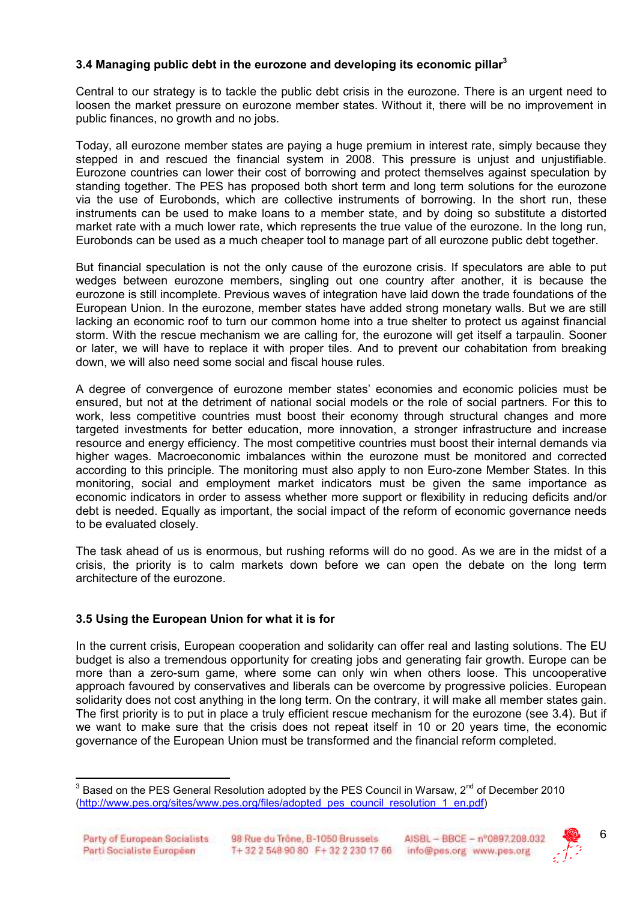### **3.4 Managing public debt in the eurozone and developing its economic pillar<sup>3</sup>**

Central to our strategy is to tackle the public debt crisis in the eurozone. There is an urgent need to loosen the market pressure on eurozone member states. Without it, there will be no improvement in public finances, no growth and no jobs.

Today, all eurozone member states are paying a huge premium in interest rate, simply because they stepped in and rescued the financial system in 2008. This pressure is unjust and unjustifiable. Eurozone countries can lower their cost of borrowing and protect themselves against speculation by standing together. The PES has proposed both short term and long term solutions for the eurozone via the use of Eurobonds, which are collective instruments of borrowing. In the short run, these instruments can be used to make loans to a member state, and by doing so substitute a distorted market rate with a much lower rate, which represents the true value of the eurozone. In the long run, Eurobonds can be used as a much cheaper tool to manage part of all eurozone public debt together.

But financial speculation is not the only cause of the eurozone crisis. If speculators are able to put wedges between eurozone members, singling out one country after another, it is because the eurozone is still incomplete. Previous waves of integration have laid down the trade foundations of the European Union. In the eurozone, member states have added strong monetary walls. But we are still lacking an economic roof to turn our common home into a true shelter to protect us against financial storm. With the rescue mechanism we are calling for, the eurozone will get itself a tarpaulin. Sooner or later, we will have to replace it with proper tiles. And to prevent our cohabitation from breaking down, we will also need some social and fiscal house rules.

A degree of convergence of eurozone member states' economies and economic policies must be ensured, but not at the detriment of national social models or the role of social partners. For this to work, less competitive countries must boost their economy through structural changes and more targeted investments for better education, more innovation, a stronger infrastructure and increase resource and energy efficiency. The most competitive countries must boost their internal demands via higher wages. Macroeconomic imbalances within the eurozone must be monitored and corrected according to this principle. The monitoring must also apply to non Euro-zone Member States. In this monitoring, social and employment market indicators must be given the same importance as economic indicators in order to assess whether more support or flexibility in reducing deficits and/or debt is needed. Equally as important, the social impact of the reform of economic governance needs to be evaluated closely.

The task ahead of us is enormous, but rushing reforms will do no good. As we are in the midst of a crisis, the priority is to calm markets down before we can open the debate on the long term architecture of the eurozone.

### **3.5 Using the European Union for what it is for**

In the current crisis, European cooperation and solidarity can offer real and lasting solutions. The EU budget is also a tremendous opportunity for creating jobs and generating fair growth. Europe can be more than a zero-sum game, where some can only win when others loose. This uncooperative approach favoured by conservatives and liberals can be overcome by progressive policies. European solidarity does not cost anything in the long term. On the contrary, it will make all member states gain. The first priority is to put in place a truly efficient rescue mechanism for the eurozone (see 3.4). But if we want to make sure that the crisis does not repeat itself in 10 or 20 years time, the economic governance of the European Union must be transformed and the financial reform completed.

 $\overline{a}$ 



 $^3$  Based on the PES General Resolution adopted by the PES Council in Warsaw, 2<sup>nd</sup> of December 2010 (http://www.pes.org/sites/www.pes.org/files/adopted\_pes\_council\_resolution\_1\_en.pdf)